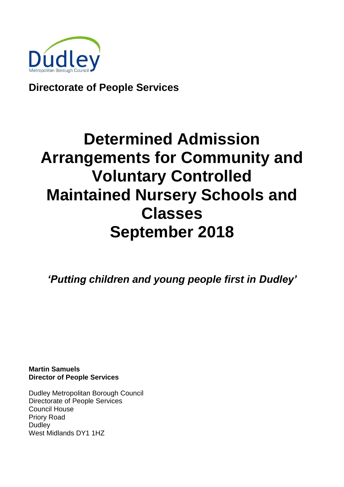

**Directorate of People Services**

# **Determined Admission Arrangements for Community and Voluntary Controlled Maintained Nursery Schools and Classes September 2018**

*'Putting children and young people first in Dudley'*

**Martin Samuels Director of People Services**

Dudley Metropolitan Borough Council Directorate of People Services Council House Priory Road **Dudley** West Midlands DY1 1HZ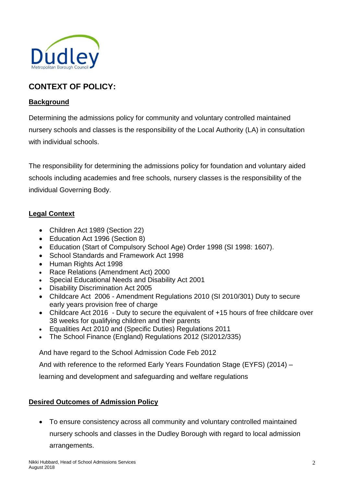

# **CONTEXT OF POLICY:**

#### **Background**

Determining the admissions policy for community and voluntary controlled maintained nursery schools and classes is the responsibility of the Local Authority (LA) in consultation with individual schools.

The responsibility for determining the admissions policy for foundation and voluntary aided schools including academies and free schools, nursery classes is the responsibility of the individual Governing Body.

#### **Legal Context**

- Children Act 1989 (Section 22)
- Education Act 1996 (Section 8)
- Education (Start of Compulsory School Age) Order 1998 (SI 1998: 1607).
- School Standards and Framework Act 1998
- Human Rights Act 1998
- Race Relations (Amendment Act) 2000
- Special Educational Needs and Disability Act 2001
- Disability Discrimination Act 2005
- Childcare Act 2006 Amendment Regulations 2010 (SI 2010/301) Duty to secure early years provision free of charge
- Childcare Act 2016 Duty to secure the equivalent of +15 hours of free childcare over 38 weeks for qualifying children and their parents
- Equalities Act 2010 and (Specific Duties) Regulations 2011
- The School Finance (England) Regulations 2012 (SI2012/335)

And have regard to the School Admission Code Feb 2012

And with reference to the reformed Early Years Foundation Stage (EYFS) (2014) –

learning and development and safeguarding and welfare regulations

#### **Desired Outcomes of Admission Policy**

 To ensure consistency across all community and voluntary controlled maintained nursery schools and classes in the Dudley Borough with regard to local admission

arrangements.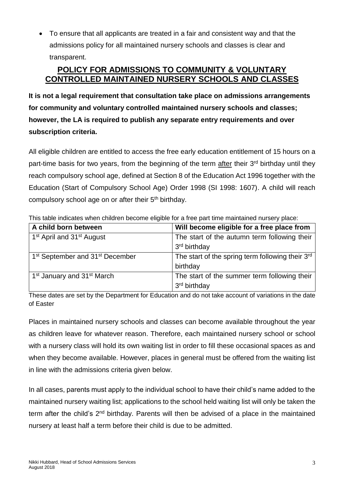To ensure that all applicants are treated in a fair and consistent way and that the admissions policy for all maintained nursery schools and classes is clear and transparent.

# **POLICY FOR ADMISSIONS TO COMMUNITY & VOLUNTARY CONTROLLED MAINTAINED NURSERY SCHOOLS AND CLASSES**

**It is not a legal requirement that consultation take place on admissions arrangements for community and voluntary controlled maintained nursery schools and classes; however, the LA is required to publish any separate entry requirements and over subscription criteria.**

All eligible children are entitled to access the free early education entitlement of 15 hours on a part-time basis for two years, from the beginning of the term after their 3<sup>rd</sup> birthday until they reach compulsory school age, defined at Section 8 of the Education Act 1996 together with the Education (Start of Compulsory School Age) Order 1998 (SI 1998: 1607). A child will reach compulsory school age on or after their 5<sup>th</sup> birthday.

| A child born between                                    | Will become eligible for a free place from       |
|---------------------------------------------------------|--------------------------------------------------|
| 1 <sup>st</sup> April and 31 <sup>st</sup> August       | The start of the autumn term following their     |
|                                                         | 3 <sup>rd</sup> birthday                         |
| 1 <sup>st</sup> September and 31 <sup>st</sup> December | The start of the spring term following their 3rd |
|                                                         | birthday                                         |
| 1 <sup>st</sup> January and 31 <sup>st</sup> March      | The start of the summer term following their     |
|                                                         | 3 <sup>rd</sup> birthday                         |

This table indicates when children become eligible for a free part time maintained nursery place:

These dates are set by the Department for Education and do not take account of variations in the date of Easter

Places in maintained nursery schools and classes can become available throughout the year as children leave for whatever reason. Therefore, each maintained nursery school or school with a nursery class will hold its own waiting list in order to fill these occasional spaces as and when they become available. However, places in general must be offered from the waiting list in line with the admissions criteria given below.

In all cases, parents must apply to the individual school to have their child's name added to the maintained nursery waiting list; applications to the school held waiting list will only be taken the term after the child's 2<sup>nd</sup> birthday. Parents will then be advised of a place in the maintained nursery at least half a term before their child is due to be admitted.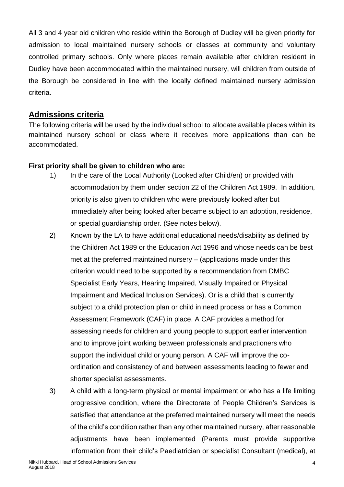All 3 and 4 year old children who reside within the Borough of Dudley will be given priority for admission to local maintained nursery schools or classes at community and voluntary controlled primary schools. Only where places remain available after children resident in Dudley have been accommodated within the maintained nursery, will children from outside of the Borough be considered in line with the locally defined maintained nursery admission criteria.

# **Admissions criteria**

The following criteria will be used by the individual school to allocate available places within its maintained nursery school or class where it receives more applications than can be accommodated.

#### **First priority shall be given to children who are:**

- 1) In the care of the Local Authority (Looked after Child/en) or provided with accommodation by them under section 22 of the Children Act 1989. In addition, priority is also given to children who were previously looked after but immediately after being looked after became subject to an adoption, residence, or special guardianship order. (See notes below).
- 2) Known by the LA to have additional educational needs/disability as defined by the Children Act 1989 or the Education Act 1996 and whose needs can be best met at the preferred maintained nursery – (applications made under this criterion would need to be supported by a recommendation from DMBC Specialist Early Years, Hearing Impaired, Visually Impaired or Physical Impairment and Medical Inclusion Services). Or is a child that is currently subject to a child protection plan or child in need process or has a Common Assessment Framework (CAF) in place. A CAF provides a method for assessing needs for children and young people to support earlier intervention and to improve joint working between professionals and practioners who support the individual child or young person. A CAF will improve the coordination and consistency of and between assessments leading to fewer and shorter specialist assessments.
- 3) A child with a long-term physical or mental impairment or who has a life limiting progressive condition, where the Directorate of People Children's Services is satisfied that attendance at the preferred maintained nursery will meet the needs of the child's condition rather than any other maintained nursery, after reasonable adjustments have been implemented (Parents must provide supportive information from their child's Paediatrician or specialist Consultant (medical), at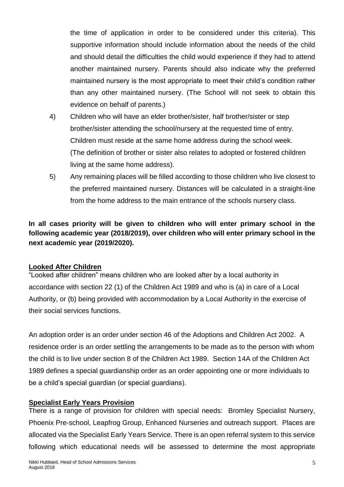the time of application in order to be considered under this criteria). This supportive information should include information about the needs of the child and should detail the difficulties the child would experience if they had to attend another maintained nursery. Parents should also indicate why the preferred maintained nursery is the most appropriate to meet their child's condition rather than any other maintained nursery. (The School will not seek to obtain this evidence on behalf of parents.)

- 4) Children who will have an elder brother/sister, half brother/sister or step brother/sister attending the school/nursery at the requested time of entry. Children must reside at the same home address during the school week. (The definition of brother or sister also relates to adopted or fostered children living at the same home address).
- 5) Any remaining places will be filled according to those children who live closest to the preferred maintained nursery. Distances will be calculated in a straight-line from the home address to the main entrance of the schools nursery class.

**In all cases priority will be given to children who will enter primary school in the following academic year (2018/2019), over children who will enter primary school in the next academic year (2019/2020).**

#### **Looked After Children**

"Looked after children" means children who are looked after by a local authority in accordance with section 22 (1) of the Children Act 1989 and who is (a) in care of a Local Authority, or (b) being provided with accommodation by a Local Authority in the exercise of their social services functions.

An adoption order is an order under section 46 of the Adoptions and Children Act 2002. A residence order is an order settling the arrangements to be made as to the person with whom the child is to live under section 8 of the Children Act 1989. Section 14A of the Children Act 1989 defines a special guardianship order as an order appointing one or more individuals to be a child's special guardian (or special guardians).

#### **Specialist Early Years Provision**

There is a range of provision for children with special needs: Bromley Specialist Nursery, Phoenix Pre-school, Leapfrog Group, Enhanced Nurseries and outreach support. Places are allocated via the Specialist Early Years Service. There is an open referral system to this service following which educational needs will be assessed to determine the most appropriate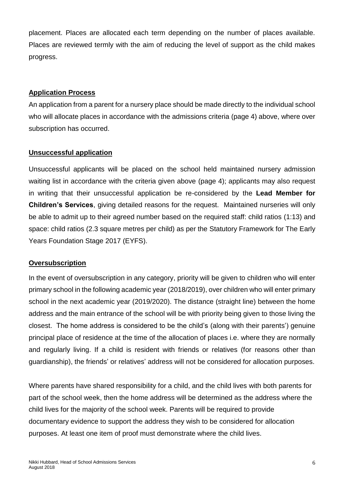placement. Places are allocated each term depending on the number of places available. Places are reviewed termly with the aim of reducing the level of support as the child makes progress.

#### **Application Process**

An application from a parent for a nursery place should be made directly to the individual school who will allocate places in accordance with the admissions criteria (page 4) above, where over subscription has occurred.

#### **Unsuccessful application**

Unsuccessful applicants will be placed on the school held maintained nursery admission waiting list in accordance with the criteria given above (page 4); applicants may also request in writing that their unsuccessful application be re-considered by the **Lead Member for Children's Services**, giving detailed reasons for the request. Maintained nurseries will only be able to admit up to their agreed number based on the required staff: child ratios (1:13) and space: child ratios (2.3 square metres per child) as per the Statutory Framework for The Early Years Foundation Stage 2017 (EYFS).

#### **Oversubscription**

In the event of oversubscription in any category, priority will be given to children who will enter primary school in the following academic year (2018/2019), over children who will enter primary school in the next academic year (2019/2020). The distance (straight line) between the home address and the main entrance of the school will be with priority being given to those living the closest. The home address is considered to be the child's (along with their parents') genuine principal place of residence at the time of the allocation of places i.e. where they are normally and regularly living. If a child is resident with friends or relatives (for reasons other than guardianship), the friends' or relatives' address will not be considered for allocation purposes.

Where parents have shared responsibility for a child, and the child lives with both parents for part of the school week, then the home address will be determined as the address where the child lives for the majority of the school week. Parents will be required to provide documentary evidence to support the address they wish to be considered for allocation purposes. At least one item of proof must demonstrate where the child lives.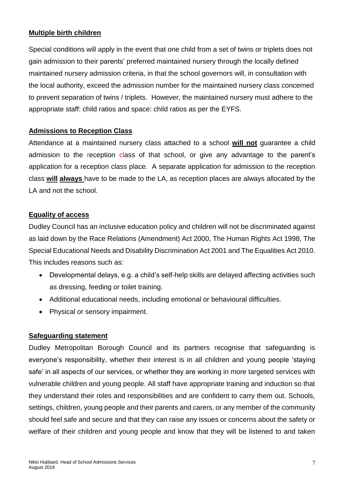#### **Multiple birth children**

Special conditions will apply in the event that one child from a set of twins or triplets does not gain admission to their parents' preferred maintained nursery through the locally defined maintained nursery admission criteria, in that the school governors will, in consultation with the local authority, exceed the admission number for the maintained nursery class concerned to prevent separation of twins / triplets. However, the maintained nursery must adhere to the appropriate staff: child ratios and space: child ratios as per the EYFS.

#### **Admissions to Reception Class**

Attendance at a maintained nursery class attached to a school **will not** guarantee a child admission to the reception class of that school, or give any advantage to the parent's application for a reception class place. A separate application for admission to the reception class **will always** have to be made to the LA, as reception places are always allocated by the LA and not the school.

#### **Equality of access**

Dudley Council has an inclusive education policy and children will not be discriminated against as laid down by the Race Relations (Amendment) Act 2000, The Human Rights Act 1998, The Special Educational Needs and Disability Discrimination Act 2001 and The Equalities Act 2010. This includes reasons such as:

- Developmental delays, e.g. a child's self-help skills are delayed affecting activities such as dressing, feeding or toilet training.
- Additional educational needs, including emotional or behavioural difficulties.
- Physical or sensory impairment.

#### **Safeguarding statement**

Dudley Metropolitan Borough Council and its partners recognise that safeguarding is everyone's responsibility, whether their interest is in all children and young people 'staying safe' in all aspects of our services, or whether they are working in more targeted services with vulnerable children and young people. All staff have appropriate training and induction so that they understand their roles and responsibilities and are confident to carry them out. Schools, settings, children, young people and their parents and carers, or any member of the community should feel safe and secure and that they can raise any issues or concerns about the safety or welfare of their children and young people and know that they will be listened to and taken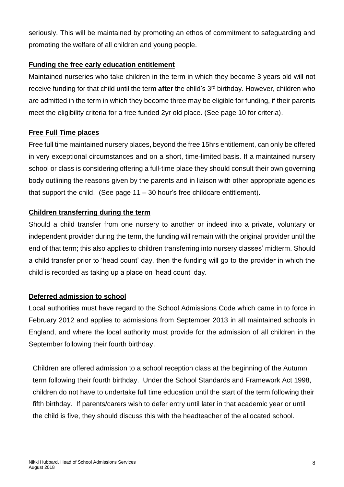seriously. This will be maintained by promoting an ethos of commitment to safeguarding and promoting the welfare of all children and young people.

#### **Funding the free early education entitlement**

Maintained nurseries who take children in the term in which they become 3 years old will not receive funding for that child until the term **after** the child's 3rd birthday. However, children who are admitted in the term in which they become three may be eligible for funding, if their parents meet the eligibility criteria for a free funded 2yr old place. (See page 10 for criteria).

#### **Free Full Time places**

Free full time maintained nursery places, beyond the free 15hrs entitlement, can only be offered in very exceptional circumstances and on a short, time-limited basis. If a maintained nursery school or class is considering offering a full-time place they should consult their own governing body outlining the reasons given by the parents and in liaison with other appropriate agencies that support the child. (See page 11 – 30 hour's free childcare entitlement).

#### **Children transferring during the term**

Should a child transfer from one nursery to another or indeed into a private, voluntary or independent provider during the term, the funding will remain with the original provider until the end of that term; this also applies to children transferring into nursery classes' midterm. Should a child transfer prior to 'head count' day, then the funding will go to the provider in which the child is recorded as taking up a place on 'head count' day.

#### **Deferred admission to school**

Local authorities must have regard to the School Admissions Code which came in to force in February 2012 and applies to admissions from September 2013 in all maintained schools in England, and where the local authority must provide for the admission of all children in the September following their fourth birthday.

Children are offered admission to a school reception class at the beginning of the Autumn term following their fourth birthday. Under the School Standards and Framework Act 1998, children do not have to undertake full time education until the start of the term following their fifth birthday. If parents/carers wish to defer entry until later in that academic year or until the child is five, they should discuss this with the headteacher of the allocated school.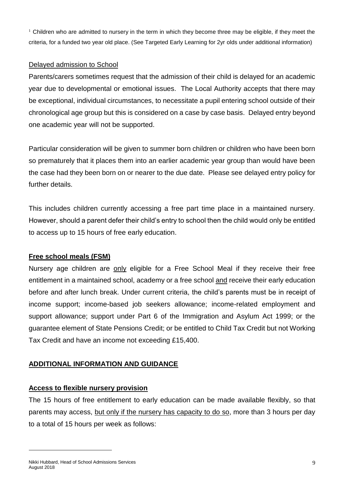<sup>1</sup> Children who are admitted to nursery in the term in which they become three may be eligible, if they meet the criteria, for a funded two year old place. (See Targeted Early Learning for 2yr olds under additional information)

#### Delayed admission to School

Parents/carers sometimes request that the admission of their child is delayed for an academic year due to developmental or emotional issues. The Local Authority accepts that there may be exceptional, individual circumstances, to necessitate a pupil entering school outside of their chronological age group but this is considered on a case by case basis. Delayed entry beyond one academic year will not be supported.

Particular consideration will be given to summer born children or children who have been born so prematurely that it places them into an earlier academic year group than would have been the case had they been born on or nearer to the due date. Please see delayed entry policy for further details.

This includes children currently accessing a free part time place in a maintained nursery. However, should a parent defer their child's entry to school then the child would only be entitled to access up to 15 hours of free early education.

# **Free school meals (FSM)**

Nursery age children are only eligible for a Free School Meal if they receive their free entitlement in a maintained school, academy or a free school and receive their early education before and after lunch break. Under current criteria, the child's parents must be in receipt of income support; income-based job seekers allowance; income-related employment and support allowance; support under Part 6 of the Immigration and Asylum Act 1999; or the guarantee element of State Pensions Credit; or be entitled to Child Tax Credit but not Working Tax Credit and have an income not exceeding £15,400.

# **ADDITIONAL INFORMATION AND GUIDANCE**

#### **Access to flexible nursery provision**

The 15 hours of free entitlement to early education can be made available flexibly, so that parents may access, but only if the nursery has capacity to do so, more than 3 hours per day to a total of 15 hours per week as follows:

l

Nikki Hubbard, Head of School Admissions Services August 2018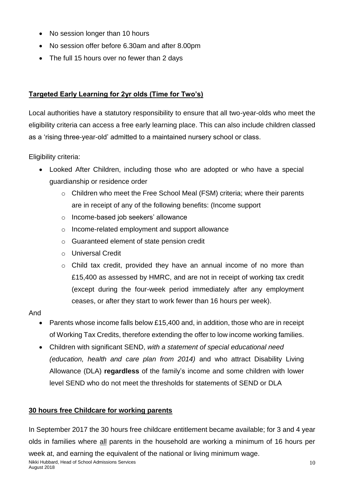- No session longer than 10 hours
- No session offer before 6.30am and after 8.00pm
- The full 15 hours over no fewer than 2 days

# **Targeted Early Learning for 2yr olds (Time for Two's)**

Local authorities have a statutory responsibility to ensure that all two-year-olds who meet the eligibility criteria can access a free early learning place. This can also include children classed as a 'rising three-year-old' admitted to a maintained nursery school or class.

Eligibility criteria:

- Looked After Children, including those who are adopted or who have a special guardianship or residence order
	- o Children who meet the Free School Meal (FSM) criteria; where their parents are in receipt of any of the following benefits: (Income support
	- o Income-based job seekers' allowance
	- o Income-related employment and support allowance
	- o Guaranteed element of state pension credit
	- o Universal Credit
	- o Child tax credit, provided they have an annual income of no more than £15,400 as assessed by HMRC, and are not in receipt of working tax credit (except during the four-week period immediately after any employment ceases, or after they start to work fewer than 16 hours per week).

# And

- Parents whose income falls below £15,400 and, in addition, those who are in receipt of Working Tax Credits, therefore extending the offer to low income working families.
- Children with significant SEND, *with a statement of special educational need (education, health and care plan from 2014)* and who attract Disability Living Allowance (DLA) **regardless** of the family's income and some children with lower level SEND who do not meet the thresholds for statements of SEND or DLA

# **30 hours free Childcare for working parents**

In September 2017 the 30 hours free childcare entitlement became available; for 3 and 4 year olds in families where all parents in the household are working a minimum of 16 hours per week at, and earning the equivalent of the national or living minimum wage.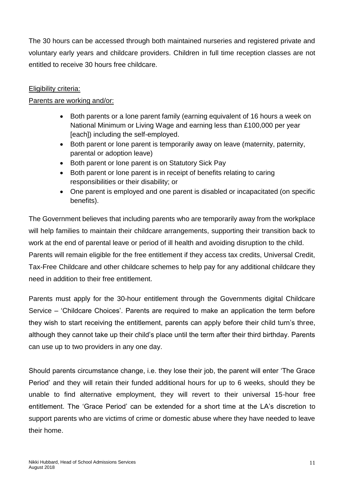The 30 hours can be accessed through both maintained nurseries and registered private and voluntary early years and childcare providers. Children in full time reception classes are not entitled to receive 30 hours free childcare.

#### Eligibility criteria:

#### Parents are working and/or:

- Both parents or a lone parent family (earning equivalent of 16 hours a week on National Minimum or Living Wage and earning less than £100,000 per year [each]) including the self-employed.
- Both parent or lone parent is temporarily away on leave (maternity, paternity, parental or adoption leave)
- Both parent or lone parent is on Statutory Sick Pay
- Both parent or lone parent is in receipt of benefits relating to caring responsibilities or their disability; or
- One parent is employed and one parent is disabled or incapacitated (on specific benefits).

The Government believes that including parents who are temporarily away from the workplace will help families to maintain their childcare arrangements, supporting their transition back to work at the end of parental leave or period of ill health and avoiding disruption to the child. Parents will remain eligible for the free entitlement if they access tax credits, Universal Credit, Tax-Free Childcare and other childcare schemes to help pay for any additional childcare they need in addition to their free entitlement.

Parents must apply for the 30-hour entitlement through the Governments digital Childcare Service – 'Childcare Choices'. Parents are required to make an application the term before they wish to start receiving the entitlement, parents can apply before their child turn's three, although they cannot take up their child's place until the term after their third birthday. Parents can use up to two providers in any one day.

Should parents circumstance change, i.e. they lose their job, the parent will enter 'The Grace Period' and they will retain their funded additional hours for up to 6 weeks, should they be unable to find alternative employment, they will revert to their universal 15-hour free entitlement. The 'Grace Period' can be extended for a short time at the LA's discretion to support parents who are victims of crime or domestic abuse where they have needed to leave their home.